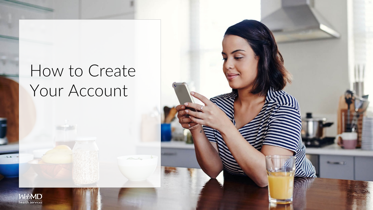## How to Create Your Account





 $L_{A}$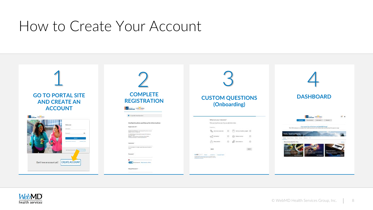#### How to Create Your Account



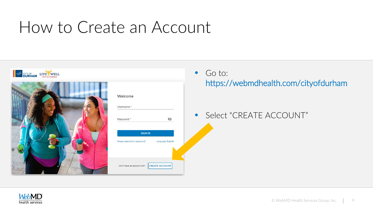### How to Create an Account



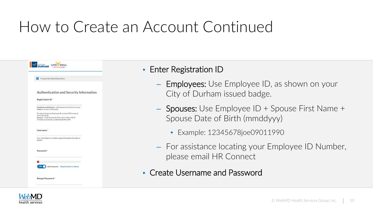#### How to Create an Account Continued



#### • Enter Registration ID

- Employees: Use Employee ID, as shown on your City of Durham issued badge.
- Spouses: Use Employee ID + Spouse First Name + Spouse Date of Birth (mmddyyy)
	- Example: 12345678joe09011990
- For assistance locating your Employee ID Number, please email HR Connect

#### • Create Username and Password

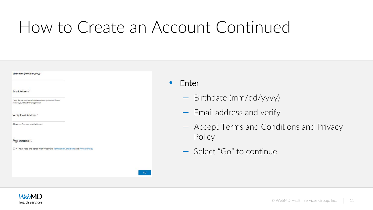## How to Create an Account Continued

GO.

| Email Address "                                                                               |  |
|-----------------------------------------------------------------------------------------------|--|
| Enter the personal email address where you would like to<br>receive your Health Manager mail. |  |
| Verify Email Address *                                                                        |  |
| (Please confirm your email address.)                                                          |  |
| Agreement                                                                                     |  |

#### • Enter

- Birthdate (mm/dd/yyyy)
- Email address and verify
- Accept Terms and Conditions and Privacy Policy
- Select "Go" to continue

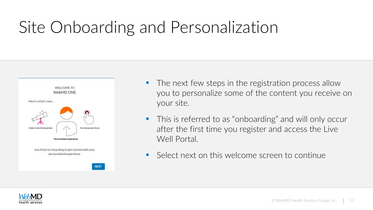# Site Onboarding and Personalization



- The next few steps in the registration process allow you to personalize some of the content you receive on your site.
- This is referred to as "onboarding" and will only occur after the first time you register and access the Live Well Portal.
- Select next on this welcome screen to continue

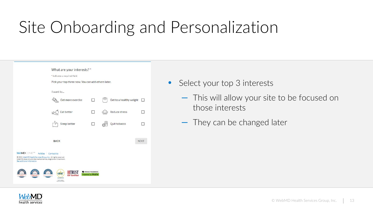# Site Onboarding and Personalization

|                                                                                                                                                                                            | What are your interests?*                                                                                          |                                       |                         |             |
|--------------------------------------------------------------------------------------------------------------------------------------------------------------------------------------------|--------------------------------------------------------------------------------------------------------------------|---------------------------------------|-------------------------|-------------|
|                                                                                                                                                                                            | * indicates a required field.                                                                                      |                                       |                         |             |
|                                                                                                                                                                                            | Pick your top three now. You can add others later.                                                                 |                                       |                         |             |
|                                                                                                                                                                                            | I want to                                                                                                          |                                       |                         |             |
|                                                                                                                                                                                            | Get more exercise                                                                                                  |                                       | Get to a healthy weight |             |
|                                                                                                                                                                                            | Eat better                                                                                                         |                                       | <b>Reduce stress</b>    |             |
|                                                                                                                                                                                            | Sleep better                                                                                                       |                                       | Quit tobacco            |             |
|                                                                                                                                                                                            | <b>BACK</b>                                                                                                        |                                       |                         | <b>NEXT</b> |
| WebMD ONE <sup>364</sup><br>C 2021 WebMD Health Services Group, Inc. All rights reserved.<br>WebMD does not provide medical advice, diagnosis or treatment.<br>See additional information. | Policies Contact Us                                                                                                |                                       |                         |             |
|                                                                                                                                                                                            | HITRUSI<br>urac <sup>®</sup><br><b>CSF Certified</b><br>ACCREDITED<br><b>Newler Village In</b><br>Darren 1001-2022 | PRIVACY FEEDBACK<br>Powered by TRUSTe |                         |             |

- Select your top 3 interests
	- This will allow your site to be focused on those interests
	- They can be changed later

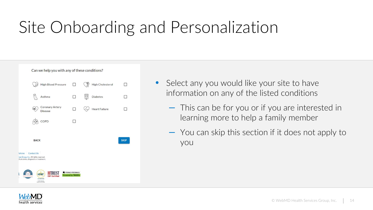# Site Onboarding and Personalization



- Select any you would like your site to have information on any of the listed conditions
	- This can be for you or if you are interested in learning more to help a family member
	- You can skip this section if it does not apply to you